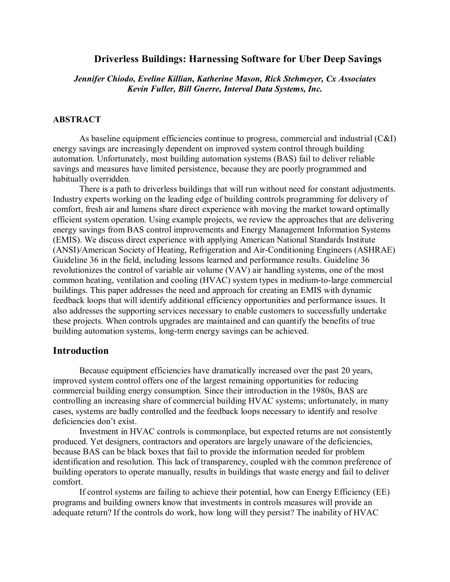### **Driverless Buildings: Harnessing Software for Uber Deep Savings**

*Jennifer Chiodo, Eveline Killian, Katherine Mason, Rick Stehmeyer, Cx Associates Kevin Fuller, Bill Gnerre, Interval Data Systems, Inc.*

### **ABSTRACT**

As baseline equipment efficiencies continue to progress, commercial and industrial (C&I) energy savings are increasingly dependent on improved system control through building automation. Unfortunately, most building automation systems (BAS) fail to deliver reliable savings and measures have limited persistence, because they are poorly programmed and habitually overridden.

There is a path to driverless buildings that will run without need for constant adjustments. Industry experts working on the leading edge of building controls programming for delivery of comfort, fresh air and lumens share direct experience with moving the market toward optimally efficient system operation. Using example projects, we review the approaches that are delivering energy savings from BAS control improvements and Energy Management Information Systems (EMIS). We discuss direct experience with applying American National Standards Institute (ANSI)/American Society of Heating, Refrigeration and Air-Conditioning Engineers (ASHRAE) Guideline 36 in the field, including lessons learned and performance results. Guideline 36 revolutionizes the control of variable air volume (VAV) air handling systems, one of the most common heating, ventilation and cooling (HVAC) system types in medium-to-large commercial buildings. This paper addresses the need and approach for creating an EMIS with dynamic feedback loops that will identify additional efficiency opportunities and performance issues. It also addresses the supporting services necessary to enable customers to successfully undertake these projects. When controls upgrades are maintained and can quantify the benefits of true building automation systems, long-term energy savings can be achieved.

## **Introduction**

Because equipment efficiencies have dramatically increased over the past 20 years, improved system control offers one of the largest remaining opportunities for reducing commercial building energy consumption. Since their introduction in the 1980s, BAS are controlling an increasing share of commercial building HVAC systems; unfortunately, in many cases, systems are badly controlled and the feedback loops necessary to identify and resolve deficiencies don't exist.

Investment in HVAC controls is commonplace, but expected returns are not consistently produced. Yet designers, contractors and operators are largely unaware of the deficiencies, because BAS can be black boxes that fail to provide the information needed for problem identification and resolution. This lack of transparency, coupled with the common preference of building operators to operate manually, results in buildings that waste energy and fail to deliver comfort.

If control systems are failing to achieve their potential, how can Energy Efficiency (EE) programs and building owners know that investments in controls measures will provide an adequate return? If the controls do work, how long will they persist? The inability of HVAC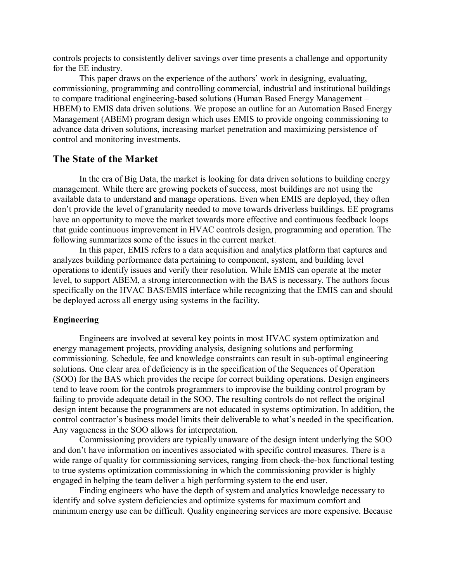controls projects to consistently deliver savings over time presents a challenge and opportunity for the EE industry.

This paper draws on the experience of the authors' work in designing, evaluating, commissioning, programming and controlling commercial, industrial and institutional buildings to compare traditional engineering-based solutions (Human Based Energy Management – HBEM) to EMIS data driven solutions. We propose an outline for an Automation Based Energy Management (ABEM) program design which uses EMIS to provide ongoing commissioning to advance data driven solutions, increasing market penetration and maximizing persistence of control and monitoring investments.

## **The State of the Market**

In the era of Big Data, the market is looking for data driven solutions to building energy management. While there are growing pockets of success, most buildings are not using the available data to understand and manage operations. Even when EMIS are deployed, they often don't provide the level of granularity needed to move towards driverless buildings. EE programs have an opportunity to move the market towards more effective and continuous feedback loops that guide continuous improvement in HVAC controls design, programming and operation. The following summarizes some of the issues in the current market.

In this paper, EMIS refers to a data acquisition and analytics platform that captures and analyzes building performance data pertaining to component, system, and building level operations to identify issues and verify their resolution. While EMIS can operate at the meter level, to support ABEM, a strong interconnection with the BAS is necessary. The authors focus specifically on the HVAC BAS/EMIS interface while recognizing that the EMIS can and should be deployed across all energy using systems in the facility.

#### **Engineering**

Engineers are involved at several key points in most HVAC system optimization and energy management projects, providing analysis, designing solutions and performing commissioning. Schedule, fee and knowledge constraints can result in sub-optimal engineering solutions. One clear area of deficiency is in the specification of the Sequences of Operation (SOO) for the BAS which provides the recipe for correct building operations. Design engineers tend to leave room for the controls programmers to improvise the building control program by failing to provide adequate detail in the SOO. The resulting controls do not reflect the original design intent because the programmers are not educated in systems optimization. In addition, the control contractor's business model limits their deliverable to what's needed in the specification. Any vagueness in the SOO allows for interpretation.

Commissioning providers are typically unaware of the design intent underlying the SOO and don't have information on incentives associated with specific control measures. There is a wide range of quality for commissioning services, ranging from check-the-box functional testing to true systems optimization commissioning in which the commissioning provider is highly engaged in helping the team deliver a high performing system to the end user.

Finding engineers who have the depth of system and analytics knowledge necessary to identify and solve system deficiencies and optimize systems for maximum comfort and minimum energy use can be difficult. Quality engineering services are more expensive. Because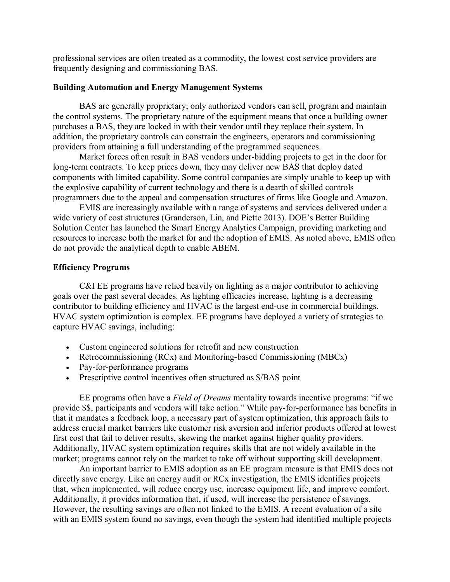professional services are often treated as a commodity, the lowest cost service providers are frequently designing and commissioning BAS.

#### **Building Automation and Energy Management Systems**

BAS are generally proprietary; only authorized vendors can sell, program and maintain the control systems. The proprietary nature of the equipment means that once a building owner purchases a BAS, they are locked in with their vendor until they replace their system. In addition, the proprietary controls can constrain the engineers, operators and commissioning providers from attaining a full understanding of the programmed sequences.

Market forces often result in BAS vendors under-bidding projects to get in the door for long-term contracts. To keep prices down, they may deliver new BAS that deploy dated components with limited capability. Some control companies are simply unable to keep up with the explosive capability of current technology and there is a dearth of skilled controls programmers due to the appeal and compensation structures of firms like Google and Amazon.

EMIS are increasingly available with a range of systems and services delivered under a wide variety of cost structures (Granderson, Lin, and Piette 2013). DOE's Better Building Solution Center has launched the Smart Energy Analytics Campaign, providing marketing and resources to increase both the market for and the adoption of EMIS. As noted above, EMIS often do not provide the analytical depth to enable ABEM.

### **Efficiency Programs**

C&I EE programs have relied heavily on lighting as a major contributor to achieving goals over the past several decades. As lighting efficacies increase, lighting is a decreasing contributor to building efficiency and HVAC is the largest end-use in commercial buildings. HVAC system optimization is complex. EE programs have deployed a variety of strategies to capture HVAC savings, including:

- Custom engineered solutions for retrofit and new construction
- Retrocommissioning (RCx) and Monitoring-based Commissioning (MBCx)
- Pay-for-performance programs
- Prescriptive control incentives often structured as  $\frac{1}{2}$  AS point

EE programs often have a *Field of Dreams* mentality towards incentive programs: "if we provide \$\$, participants and vendors will take action." While pay-for-performance has benefits in that it mandates a feedback loop, a necessary part of system optimization, this approach fails to address crucial market barriers like customer risk aversion and inferior products offered at lowest first cost that fail to deliver results, skewing the market against higher quality providers. Additionally, HVAC system optimization requires skills that are not widely available in the market; programs cannot rely on the market to take off without supporting skill development.

An important barrier to EMIS adoption as an EE program measure is that EMIS does not directly save energy. Like an energy audit or RCx investigation, the EMIS identifies projects that, when implemented, will reduce energy use, increase equipment life, and improve comfort. Additionally, it provides information that, if used, will increase the persistence of savings. However, the resulting savings are often not linked to the EMIS. A recent evaluation of a site with an EMIS system found no savings, even though the system had identified multiple projects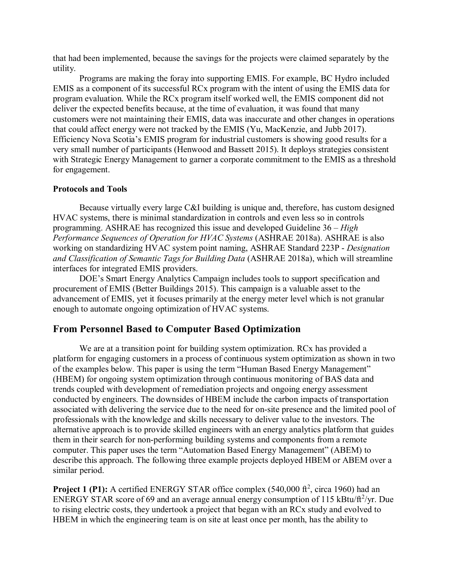that had been implemented, because the savings for the projects were claimed separately by the utility.

Programs are making the foray into supporting EMIS. For example, BC Hydro included EMIS as a component of its successful RCx program with the intent of using the EMIS data for program evaluation. While the RCx program itself worked well, the EMIS component did not deliver the expected benefits because, at the time of evaluation, it was found that many customers were not maintaining their EMIS, data was inaccurate and other changes in operations that could affect energy were not tracked by the EMIS (Yu, MacKenzie, and Jubb 2017). Efficiency Nova Scotia's EMIS program for industrial customers is showing good results for a very small number of participants (Henwood and Bassett 2015). It deploys strategies consistent with Strategic Energy Management to garner a corporate commitment to the EMIS as a threshold for engagement.

## **Protocols and Tools**

Because virtually every large C&I building is unique and, therefore, has custom designed HVAC systems, there is minimal standardization in controls and even less so in controls programming. ASHRAE has recognized this issue and developed Guideline 36 – *High Performance Sequences of Operation for HVAC Systems* (ASHRAE 2018a). ASHRAE is also working on standardizing HVAC system point naming, ASHRAE Standard 223P - *Designation and Classification of Semantic Tags for Building Data* (ASHRAE 2018a), which will streamline interfaces for integrated EMIS providers.

DOE's Smart Energy Analytics Campaign includes tools to support specification and procurement of EMIS (Better Buildings 2015). This campaign is a valuable asset to the advancement of EMIS, yet it focuses primarily at the energy meter level which is not granular enough to automate ongoing optimization of HVAC systems.

# **From Personnel Based to Computer Based Optimization**

We are at a transition point for building system optimization. RC<sub>x</sub> has provided a platform for engaging customers in a process of continuous system optimization as shown in two of the examples below. This paper is using the term "Human Based Energy Management" (HBEM) for ongoing system optimization through continuous monitoring of BAS data and trends coupled with development of remediation projects and ongoing energy assessment conducted by engineers. The downsides of HBEM include the carbon impacts of transportation associated with delivering the service due to the need for on-site presence and the limited pool of professionals with the knowledge and skills necessary to deliver value to the investors. The alternative approach is to provide skilled engineers with an energy analytics platform that guides them in their search for non-performing building systems and components from a remote computer. This paper uses the term "Automation Based Energy Management" (ABEM) to describe this approach. The following three example projects deployed HBEM or ABEM over a similar period.

**Project 1 (P1):** A certified ENERGY STAR office complex  $(540,000 \text{ ft}^2, \text{circa } 1960)$  had an ENERGY STAR score of 69 and an average annual energy consumption of 115 kBtu/ft $\frac{2}{yr}$ . Due to rising electric costs, they undertook a project that began with an RCx study and evolved to HBEM in which the engineering team is on site at least once per month, has the ability to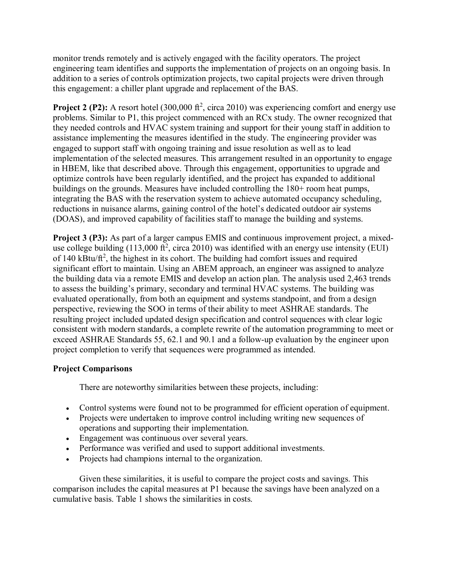monitor trends remotely and is actively engaged with the facility operators. The project engineering team identifies and supports the implementation of projects on an ongoing basis. In addition to a series of controls optimization projects, two capital projects were driven through this engagement: a chiller plant upgrade and replacement of the BAS.

**Project 2 (P2):** A resort hotel  $(300,000 \text{ ft}^2, \text{circa } 2010)$  was experiencing comfort and energy use problems. Similar to P1, this project commenced with an RCx study. The owner recognized that they needed controls and HVAC system training and support for their young staff in addition to assistance implementing the measures identified in the study. The engineering provider was engaged to support staff with ongoing training and issue resolution as well as to lead implementation of the selected measures. This arrangement resulted in an opportunity to engage in HBEM, like that described above. Through this engagement, opportunities to upgrade and optimize controls have been regularly identified, and the project has expanded to additional buildings on the grounds. Measures have included controlling the 180+ room heat pumps, integrating the BAS with the reservation system to achieve automated occupancy scheduling, reductions in nuisance alarms, gaining control of the hotel's dedicated outdoor air systems (DOAS), and improved capability of facilities staff to manage the building and systems.

**Project 3 (P3):** As part of a larger campus EMIS and continuous improvement project, a mixeduse college building  $(113,000 \text{ ft}^2, \text{circa } 2010)$  was identified with an energy use intensity (EUI) of 140 kBtu/ft<sup>2</sup>, the highest in its cohort. The building had comfort issues and required significant effort to maintain. Using an ABEM approach, an engineer was assigned to analyze the building data via a remote EMIS and develop an action plan. The analysis used 2,463 trends to assess the building's primary, secondary and terminal HVAC systems. The building was evaluated operationally, from both an equipment and systems standpoint, and from a design perspective, reviewing the SOO in terms of their ability to meet ASHRAE standards. The resulting project included updated design specification and control sequences with clear logic consistent with modern standards, a complete rewrite of the automation programming to meet or exceed ASHRAE Standards 55, 62.1 and 90.1 and a follow-up evaluation by the engineer upon project completion to verify that sequences were programmed as intended.

# **Project Comparisons**

There are noteworthy similarities between these projects, including:

- Control systems were found not to be programmed for efficient operation of equipment.
- Projects were undertaken to improve control including writing new sequences of operations and supporting their implementation.
- Engagement was continuous over several years.
- Performance was verified and used to support additional investments.
- Projects had champions internal to the organization.

Given these similarities, it is useful to compare the project costs and savings. This comparison includes the capital measures at P1 because the savings have been analyzed on a cumulative basis. Table 1 shows the similarities in costs.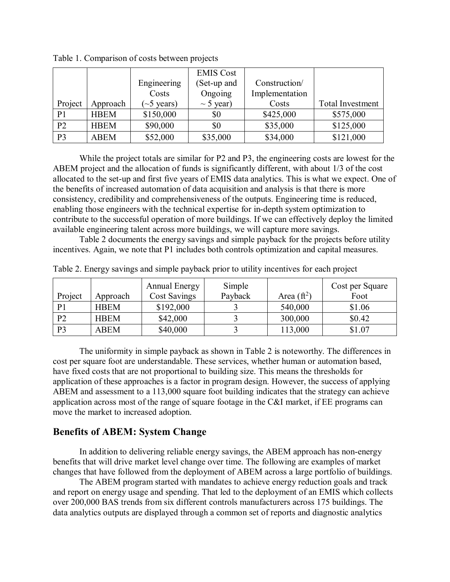|                |             |                 | <b>EMIS Cost</b> |                |                         |
|----------------|-------------|-----------------|------------------|----------------|-------------------------|
|                |             | Engineering     | (Set-up and      | Construction/  |                         |
|                |             | Costs           | Ongoing          | Implementation |                         |
| Project        | Approach    | $\sim$ 5 years) | $\sim$ 5 year)   | Costs          | <b>Total Investment</b> |
| P <sub>1</sub> | <b>HBEM</b> | \$150,000       | \$0              | \$425,000      | \$575,000               |
| P <sub>2</sub> | <b>HBEM</b> | \$90,000        | \$0              | \$35,000       | \$125,000               |
| P <sub>3</sub> | <b>ABEM</b> | \$52,000        | \$35,000         | \$34,000       | \$121,000               |

Table 1. Comparison of costs between projects

While the project totals are similar for P2 and P3, the engineering costs are lowest for the ABEM project and the allocation of funds is significantly different, with about 1/3 of the cost allocated to the set-up and first five years of EMIS data analytics. This is what we expect. One of the benefits of increased automation of data acquisition and analysis is that there is more consistency, credibility and comprehensiveness of the outputs. Engineering time is reduced, enabling those engineers with the technical expertise for in-depth system optimization to contribute to the successful operation of more buildings. If we can effectively deploy the limited available engineering talent across more buildings, we will capture more savings.

Table 2 documents the energy savings and simple payback for the projects before utility incentives. Again, we note that P1 includes both controls optimization and capital measures.

| Project        | Approach    | <b>Annual Energy</b><br><b>Cost Savings</b> | Simple<br>Payback | Area $(\mathrm{ft}^2)$ | Cost per Square<br>Foot |
|----------------|-------------|---------------------------------------------|-------------------|------------------------|-------------------------|
| P <sub>1</sub> | <b>HBEM</b> | \$192,000                                   |                   | 540,000                | \$1.06                  |
| P <sub>2</sub> | <b>HBEM</b> | \$42,000                                    |                   | 300,000                | \$0.42                  |
| P <sub>3</sub> | ABEM        | \$40,000                                    |                   | 113,000                | \$1.07                  |

Table 2. Energy savings and simple payback prior to utility incentives for each project

The uniformity in simple payback as shown in Table 2 is noteworthy. The differences in cost per square foot are understandable. These services, whether human or automation based, have fixed costs that are not proportional to building size. This means the thresholds for application of these approaches is a factor in program design. However, the success of applying ABEM and assessment to a 113,000 square foot building indicates that the strategy can achieve application across most of the range of square footage in the C&I market, if EE programs can move the market to increased adoption.

# **Benefits of ABEM: System Change**

In addition to delivering reliable energy savings, the ABEM approach has non-energy benefits that will drive market level change over time. The following are examples of market changes that have followed from the deployment of ABEM across a large portfolio of buildings.

The ABEM program started with mandates to achieve energy reduction goals and track and report on energy usage and spending. That led to the deployment of an EMIS which collects over 200,000 BAS trends from six different controls manufacturers across 175 buildings. The data analytics outputs are displayed through a common set of reports and diagnostic analytics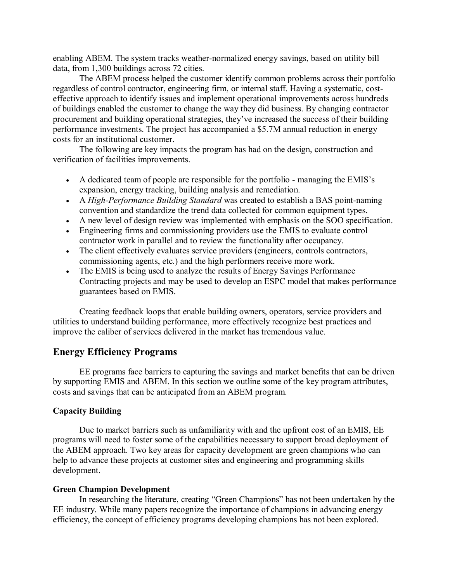enabling ABEM. The system tracks weather-normalized energy savings, based on utility bill data, from 1,300 buildings across 72 cities.

The ABEM process helped the customer identify common problems across their portfolio regardless of control contractor, engineering firm, or internal staff. Having a systematic, costeffective approach to identify issues and implement operational improvements across hundreds of buildings enabled the customer to change the way they did business. By changing contractor procurement and building operational strategies, they've increased the success of their building performance investments. The project has accompanied a \$5.7M annual reduction in energy costs for an institutional customer.

The following are key impacts the program has had on the design, construction and verification of facilities improvements.

- A dedicated team of people are responsible for the portfolio managing the EMIS's expansion, energy tracking, building analysis and remediation.
- A *High-Performance Building Standard* was created to establish a BAS point-naming convention and standardize the trend data collected for common equipment types.
- A new level of design review was implemented with emphasis on the SOO specification.
- Engineering firms and commissioning providers use the EMIS to evaluate control contractor work in parallel and to review the functionality after occupancy.
- The client effectively evaluates service providers (engineers, controls contractors, commissioning agents, etc.) and the high performers receive more work.
- The EMIS is being used to analyze the results of Energy Savings Performance Contracting projects and may be used to develop an ESPC model that makes performance guarantees based on EMIS.

Creating feedback loops that enable building owners, operators, service providers and utilities to understand building performance, more effectively recognize best practices and improve the caliber of services delivered in the market has tremendous value.

## **Energy Efficiency Programs**

EE programs face barriers to capturing the savings and market benefits that can be driven by supporting EMIS and ABEM. In this section we outline some of the key program attributes, costs and savings that can be anticipated from an ABEM program.

## **Capacity Building**

Due to market barriers such as unfamiliarity with and the upfront cost of an EMIS, EE programs will need to foster some of the capabilities necessary to support broad deployment of the ABEM approach. Two key areas for capacity development are green champions who can help to advance these projects at customer sites and engineering and programming skills development.

### **Green Champion Development**

In researching the literature, creating "Green Champions" has not been undertaken by the EE industry. While many papers recognize the importance of champions in advancing energy efficiency, the concept of efficiency programs developing champions has not been explored.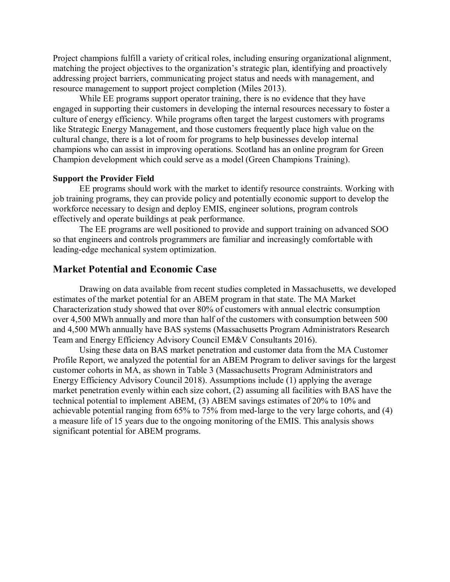Project champions fulfill a variety of critical roles, including ensuring organizational alignment, matching the project objectives to the organization's strategic plan, identifying and proactively addressing project barriers, communicating project status and needs with management, and resource management to support project completion (Miles 2013).

While EE programs support operator training, there is no evidence that they have engaged in supporting their customers in developing the internal resources necessary to foster a culture of energy efficiency. While programs often target the largest customers with programs like Strategic Energy Management, and those customers frequently place high value on the cultural change, there is a lot of room for programs to help businesses develop internal champions who can assist in improving operations. Scotland has an online program for Green Champion development which could serve as a model (Green Champions Training).

#### **Support the Provider Field**

EE programs should work with the market to identify resource constraints. Working with job training programs, they can provide policy and potentially economic support to develop the workforce necessary to design and deploy EMIS, engineer solutions, program controls effectively and operate buildings at peak performance.

The EE programs are well positioned to provide and support training on advanced SOO so that engineers and controls programmers are familiar and increasingly comfortable with leading-edge mechanical system optimization.

# **Market Potential and Economic Case**

Drawing on data available from recent studies completed in Massachusetts, we developed estimates of the market potential for an ABEM program in that state. The MA Market Characterization study showed that over 80% of customers with annual electric consumption over 4,500 MWh annually and more than half of the customers with consumption between 500 and 4,500 MWh annually have BAS systems (Massachusetts Program Administrators Research Team and Energy Efficiency Advisory Council EM&V Consultants 2016).

Using these data on BAS market penetration and customer data from the MA Customer Profile Report, we analyzed the potential for an ABEM Program to deliver savings for the largest customer cohorts in MA, as shown in Table 3 (Massachusetts Program Administrators and Energy Efficiency Advisory Council 2018). Assumptions include (1) applying the average market penetration evenly within each size cohort, (2) assuming all facilities with BAS have the technical potential to implement ABEM, (3) ABEM savings estimates of 20% to 10% and achievable potential ranging from 65% to 75% from med-large to the very large cohorts, and (4) a measure life of 15 years due to the ongoing monitoring of the EMIS. This analysis shows significant potential for ABEM programs.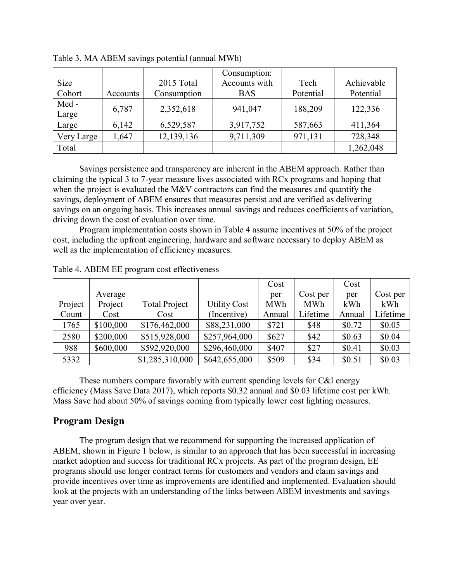| <b>Size</b> |          | 2015 Total  | Consumption:<br>Accounts with | Tech      | Achievable |
|-------------|----------|-------------|-------------------------------|-----------|------------|
|             |          |             |                               |           |            |
| Cohort      | Accounts | Consumption | <b>BAS</b>                    | Potential | Potential  |
| Med-        | 6,787    | 2,352,618   | 941,047                       | 188,209   | 122,336    |
| Large       |          |             |                               |           |            |
| Large       | 6,142    | 6,529,587   | 3,917,752                     | 587,663   | 411,364    |
| Very Large  | 1,647    | 12,139,136  | 9,711,309                     | 971,131   | 728,348    |
| Total       |          |             |                               |           | 1,262,048  |

Table 3. MA ABEM savings potential (annual MWh)

Savings persistence and transparency are inherent in the ABEM approach. Rather than claiming the typical 3 to 7-year measure lives associated with RCx programs and hoping that when the project is evaluated the M&V contractors can find the measures and quantify the savings, deployment of ABEM ensures that measures persist and are verified as delivering savings on an ongoing basis. This increases annual savings and reduces coefficients of variation, driving down the cost of evaluation over time.

Program implementation costs shown in Table 4 assume incentives at 50% of the project cost, including the upfront engineering, hardware and software necessary to deploy ABEM as well as the implementation of efficiency measures.

|         |           |                      |                     | Cost       |            | Cost   |          |
|---------|-----------|----------------------|---------------------|------------|------------|--------|----------|
|         | Average   |                      |                     | per        | Cost per   | per    | Cost per |
| Project | Project   | <b>Total Project</b> | <b>Utility Cost</b> | <b>MWh</b> | <b>MWh</b> | kWh    | kWh      |
| Count   | Cost      | Cost                 | (Incentive)         | Annual     | Lifetime   | Annual | Lifetime |
| 1765    | \$100,000 | \$176,462,000        | \$88,231,000        | \$721      | \$48       | \$0.72 | \$0.05   |
| 2580    | \$200,000 | \$515,928,000        | \$257,964,000       | \$627      | \$42       | \$0.63 | \$0.04   |
| 988     | \$600,000 | \$592,920,000        | \$296,460,000       | \$407      | \$27       | \$0.41 | \$0.03   |
| 5332    |           | \$1,285,310,000      | \$642,655,000       | \$509      | \$34       | \$0.51 | \$0.03   |

Table 4. ABEM EE program cost effectiveness

These numbers compare favorably with current spending levels for C&I energy efficiency (Mass Save Data 2017), which reports \$0.32 annual and \$0.03 lifetime cost per kWh. Mass Save had about 50% of savings coming from typically lower cost lighting measures.

# **Program Design**

The program design that we recommend for supporting the increased application of ABEM, shown in Figure 1 below, is similar to an approach that has been successful in increasing market adoption and success for traditional RCx projects. As part of the program design, EE programs should use longer contract terms for customers and vendors and claim savings and provide incentives over time as improvements are identified and implemented. Evaluation should look at the projects with an understanding of the links between ABEM investments and savings year over year.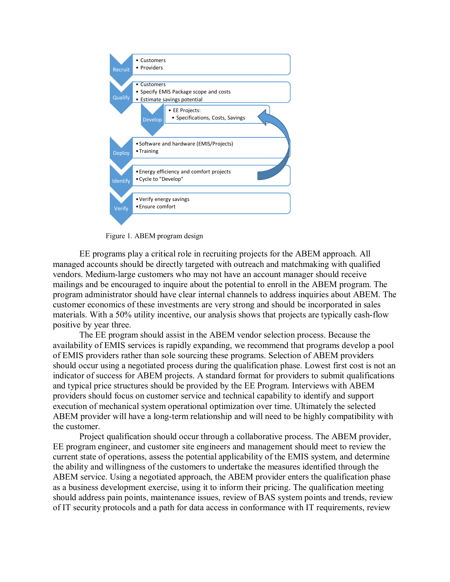

Figure 1. ABEM program design

EE programs play a critical role in recruiting projects for the ABEM approach. All managed accounts should be directly targeted with outreach and matchmaking with qualified vendors. Medium-large customers who may not have an account manager should receive mailings and be encouraged to inquire about the potential to enroll in the ABEM program. The program administrator should have clear internal channels to address inquiries about ABEM. The customer economics of these investments are very strong and should be incorporated in sales materials. With a 50% utility incentive, our analysis shows that projects are typically cash-flow positive by year three.

The EE program should assist in the ABEM vendor selection process. Because the availability of EMIS services is rapidly expanding, we recommend that programs develop a pool of EMIS providers rather than sole sourcing these programs. Selection of ABEM providers should occur using a negotiated process during the qualification phase. Lowest first cost is not an indicator of success for ABEM projects. A standard format for providers to submit qualifications and typical price structures should be provided by the EE Program. Interviews with ABEM providers should focus on customer service and technical capability to identify and support execution of mechanical system operational optimization over time. Ultimately the selected ABEM provider will have a long-term relationship and will need to be highly compatibility with the customer.

Project qualification should occur through a collaborative process. The ABEM provider, EE program engineer, and customer site engineers and management should meet to review the current state of operations, assess the potential applicability of the EMIS system, and determine the ability and willingness of the customers to undertake the measures identified through the ABEM service. Using a negotiated approach, the ABEM provider enters the qualification phase as a business development exercise, using it to inform their pricing. The qualification meeting should address pain points, maintenance issues, review of BAS system points and trends, review of IT security protocols and a path for data access in conformance with IT requirements, review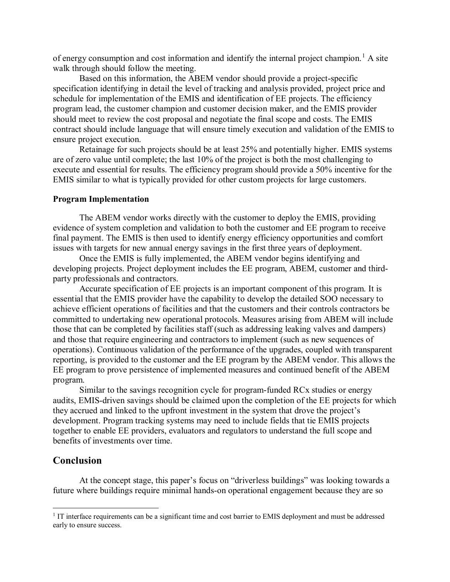of energy consumption and cost information and identify the internal project champion.<sup>[1](#page-10-0)</sup> A site walk through should follow the meeting.

Based on this information, the ABEM vendor should provide a project-specific specification identifying in detail the level of tracking and analysis provided, project price and schedule for implementation of the EMIS and identification of EE projects. The efficiency program lead, the customer champion and customer decision maker, and the EMIS provider should meet to review the cost proposal and negotiate the final scope and costs. The EMIS contract should include language that will ensure timely execution and validation of the EMIS to ensure project execution.

Retainage for such projects should be at least 25% and potentially higher. EMIS systems are of zero value until complete; the last 10% of the project is both the most challenging to execute and essential for results. The efficiency program should provide a 50% incentive for the EMIS similar to what is typically provided for other custom projects for large customers.

### **Program Implementation**

The ABEM vendor works directly with the customer to deploy the EMIS, providing evidence of system completion and validation to both the customer and EE program to receive final payment. The EMIS is then used to identify energy efficiency opportunities and comfort issues with targets for new annual energy savings in the first three years of deployment.

Once the EMIS is fully implemented, the ABEM vendor begins identifying and developing projects. Project deployment includes the EE program, ABEM, customer and thirdparty professionals and contractors.

Accurate specification of EE projects is an important component of this program. It is essential that the EMIS provider have the capability to develop the detailed SOO necessary to achieve efficient operations of facilities and that the customers and their controls contractors be committed to undertaking new operational protocols. Measures arising from ABEM will include those that can be completed by facilities staff (such as addressing leaking valves and dampers) and those that require engineering and contractors to implement (such as new sequences of operations). Continuous validation of the performance of the upgrades, coupled with transparent reporting, is provided to the customer and the EE program by the ABEM vendor. This allows the EE program to prove persistence of implemented measures and continued benefit of the ABEM program.

Similar to the savings recognition cycle for program-funded RCx studies or energy audits, EMIS-driven savings should be claimed upon the completion of the EE projects for which they accrued and linked to the upfront investment in the system that drove the project's development. Program tracking systems may need to include fields that tie EMIS projects together to enable EE providers, evaluators and regulators to understand the full scope and benefits of investments over time.

## **Conclusion**

At the concept stage, this paper's focus on "driverless buildings" was looking towards a future where buildings require minimal hands-on operational engagement because they are so

<span id="page-10-0"></span><sup>&</sup>lt;sup>1</sup> IT interface requirements can be a significant time and cost barrier to EMIS deployment and must be addressed early to ensure success.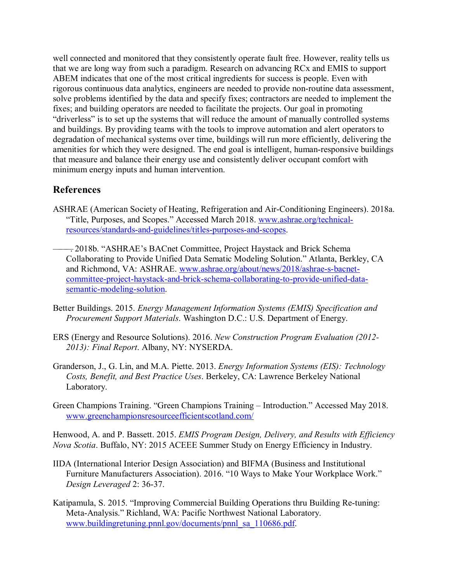well connected and monitored that they consistently operate fault free. However, reality tells us that we are long way from such a paradigm. Research on advancing RCx and EMIS to support ABEM indicates that one of the most critical ingredients for success is people. Even with rigorous continuous data analytics, engineers are needed to provide non-routine data assessment, solve problems identified by the data and specify fixes; contractors are needed to implement the fixes; and building operators are needed to facilitate the projects. Our goal in promoting "driverless" is to set up the systems that will reduce the amount of manually controlled systems and buildings. By providing teams with the tools to improve automation and alert operators to degradation of mechanical systems over time, buildings will run more efficiently, delivering the amenities for which they were designed. The end goal is intelligent, human-responsive buildings that measure and balance their energy use and consistently deliver occupant comfort with minimum energy inputs and human intervention.

# **References**

- ASHRAE (American Society of Heating, Refrigeration and Air-Conditioning Engineers). 2018a. "Title, Purposes, and Scopes." Accessed March 2018. [www.ashrae.org/technical](http://www.ashrae.org/technical-resources/standards-and-guidelines/titles-purposes-and-scopes)[resources/standards-and-guidelines/titles-purposes-and-scopes.](http://www.ashrae.org/technical-resources/standards-and-guidelines/titles-purposes-and-scopes)
- ———. 2018b. "ASHRAE's BACnet Committee, Project Haystack and Brick Schema Collaborating to Provide Unified Data Sematic Modeling Solution." Atlanta, Berkley, CA and Richmond, VA: ASHRAE. [www.ashrae.org/about/news/2018/ashrae-s-bacnet](http://www.ashrae.org/about/news/2018/ashrae-s-bacnet-committee-project-haystack-and-brick-schema-collaborating-to-provide-unified-data-semantic-modeling-solution)[committee-project-haystack-and-brick-schema-collaborating-to-provide-unified-data](http://www.ashrae.org/about/news/2018/ashrae-s-bacnet-committee-project-haystack-and-brick-schema-collaborating-to-provide-unified-data-semantic-modeling-solution)[semantic-modeling-solution.](http://www.ashrae.org/about/news/2018/ashrae-s-bacnet-committee-project-haystack-and-brick-schema-collaborating-to-provide-unified-data-semantic-modeling-solution)
- Better Buildings. 2015. *Energy Management Information Systems (EMIS) Specification and Procurement Support Materials*. Washington D.C.: U.S. Department of Energy.
- ERS (Energy and Resource Solutions). 2016. *New Construction Program Evaluation (2012- 2013): Final Report*. Albany, NY: NYSERDA.
- Granderson, J., G. Lin, and M.A. Piette. 2013. *Energy Information Systems (EIS): Technology Costs, Benefit, and Best Practice Uses*. Berkeley, CA: Lawrence Berkeley National Laboratory.
- Green Champions Training. "Green Champions Training Introduction." Accessed May 2018. [www.greenchampionsresourceefficientscotland.com/](http://www.greenchampionsresourceefficientscotland.com/)

Henwood, A. and P. Bassett. 2015. *EMIS Program Design, Delivery, and Results with Efficiency Nova Scotia*. Buffalo, NY: 2015 ACEEE Summer Study on Energy Efficiency in Industry.

- IIDA (International Interior Design Association) and BIFMA (Business and Institutional Furniture Manufacturers Association). 2016. "10 Ways to Make Your Workplace Work." *Design Leveraged* 2: 36-37.
- Katipamula, S. 2015. "Improving Commercial Building Operations thru Building Re-tuning: Meta-Analysis." Richland, WA: Pacific Northwest National Laboratory. www[.buildingretuning.pnnl.gov/documents/pnnl\\_sa\\_110686.pdf.](https://buildingretuning.pnnl.gov/documents/pnnl_sa_110686.pdf)